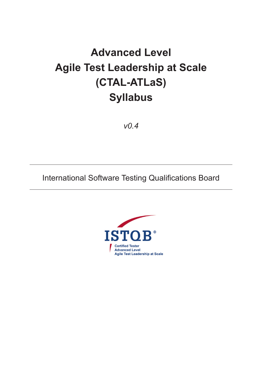# **Advanced Level Agile Test Leadership at Scale (CTAL-ATLaS) Syllabus**

*v0.4*

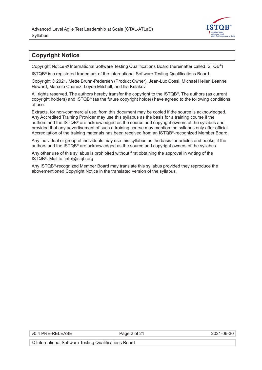

# <span id="page-1-0"></span>**Copyright Notice**

Copyright Notice © International Software Testing Qualifications Board (hereinafter called ISTQB®)

ISTQB® is a registered trademark of the International Software Testing Qualifications Board.

Copyright © 2021, Mette Bruhn-Pedersen (Product Owner), Jean-Luc Cossi, Michael Heller, Leanne Howard, Marcelo Chanez, Loyde Mitchell, and Ilia Kulakov.

All rights reserved. The authors hereby transfer the copyright to the ISTQB®. The authors (as current copyright holders) and ISTQB® (as the future copyright holder) have agreed to the following conditions of use:

Extracts, for non-commercial use, from this document may be copied if the source is acknowledged. Any Accredited Training Provider may use this syllabus as the basis for a training course if the authors and the ISTQB® are acknowledged as the source and copyright owners of the syllabus and provided that any advertisement of such a training course may mention the syllabus only after official Accreditation of the training materials has been received from an ISTQB®-recognized Member Board.

Any individual or group of individuals may use this syllabus as the basis for articles and books, if the authors and the ISTQB® are acknowledged as the source and copyright owners of the syllabus.

Any other use of this syllabus is prohibited without first obtaining the approval in writing of the ISTQB®. Mail to: info@istqb.org

Any ISTQB®-recognized Member Board may translate this syllabus provided they reproduce the abovementioned Copyright Notice in the translated version of the syllabus.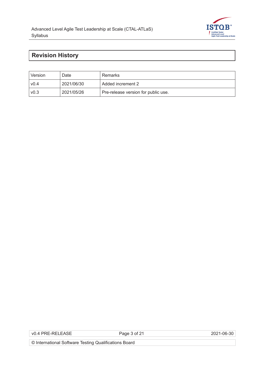

# <span id="page-2-0"></span>**Revision History**

| Version          | Date       | Remarks                             |
|------------------|------------|-------------------------------------|
| v0.4             | 2021/06/30 | Added increment 2                   |
| V <sub>0.3</sub> | 2021/05/26 | Pre-release version for public use. |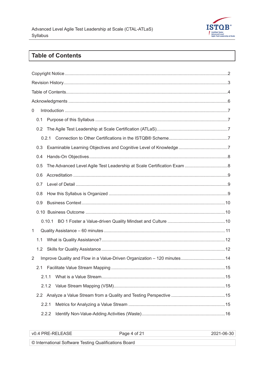

# **Table of Contents**

| 0     |                                                                          |
|-------|--------------------------------------------------------------------------|
| 0.1   |                                                                          |
| 0.2   |                                                                          |
| 0.2.1 |                                                                          |
| 0.3   |                                                                          |
| 0.4   |                                                                          |
| 0.5   |                                                                          |
| 0.6   |                                                                          |
| 0.7   |                                                                          |
| 0.8   |                                                                          |
| 0.9   |                                                                          |
|       |                                                                          |
|       |                                                                          |
| 1     |                                                                          |
| 1.1   |                                                                          |
| 1.2   |                                                                          |
| 2     | Improve Quality and Flow in a Value-Driven Organization - 120 minutes 14 |
|       |                                                                          |
| 2.1.1 |                                                                          |
|       |                                                                          |
|       |                                                                          |
| 2.2.1 |                                                                          |
| 2.2.2 |                                                                          |

| VO 4 PRE-RELEASE<br>~– | Jane 4<br>nt 2<br>$  -$                         |  |
|------------------------|-------------------------------------------------|--|
| ______                 | the contract of the contract of the contract of |  |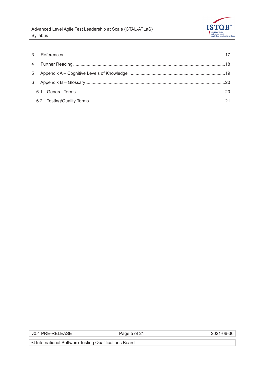

Page 5 of 21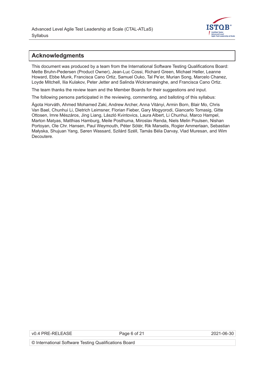

#### <span id="page-5-0"></span>**Acknowledgments**

This document was produced by a team from the International Software Testing Qualifications Board: Mette Bruhn-Pedersen (Product Owner), Jean-Luc Cossi, Richard Green, Michael Heller, Leanne Howard, Ebbe Munk, Francisca Cano Ortiz, Samuel Ouko, Tal Pe'er, Murian Song, Marcelo Chanez, Loyde Mitchell, Ilia Kulakov, Peter Jetter and Salinda Wickramasinghe, and Francisca Cano Ortiz.

The team thanks the review team and the Member Boards for their suggestions and input.

The following persons participated in the reviewing, commenting, and balloting of this syllabus:

Ágota Horváth, Ahmed Mohamed Zaki, Andrew Archer, Anna Vitányi, Armin Born, Blair Mo, Chris Van Bael, Chunhui Li, Dietrich Leimsner, Florian Fieber, Gary Mogyorodi, Giancarlo Tomasig, Gitte Ottosen, Imre Mészáros, Jing Liang, László Kvintovics, Laura Albert, Li Chunhui, Marco Hampel, Marton Matyas, Matthias Hamburg, Meile Posthuma, Miroslav Renda, Niels Melin Poulsen, Nishan Portoyan, Ole Chr. Hansen, Paul Weymouth, Péter Sótér, Rik Marselis, Rogier Ammerlaan, Sebastian Małyska, Shujuan Yang, Søren Wassard, Szilárd Széll, Tamás Béla Darvay, Vlad Muresan, and Wim Decoutere.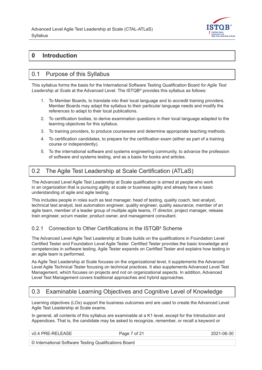

# <span id="page-6-0"></span>**0 Introduction**

#### 0.1 Purpose of this Syllabus

This syllabus forms the basis for the International Software Testing Qualification Board *for Agile Test Leadership at Scale* at the Advanced Level. The ISTQB® provides this syllabus as follows:

- 1. To Member Boards, to translate into their local language and to accredit training providers. Member Boards may adapt the syllabus to their particular language needs and modify the references to adapt to their local publications.
- 2. To certification bodies, to derive examination questions in their local language adapted to the learning objectives for this syllabus.
- 3. To training providers, to produce courseware and determine appropriate teaching methods.
- 4. To certification candidates, to prepare for the certification exam (either as part of a training course or independently).
- 5. To the international software and systems engineering community, to advance the profession of software and systems testing, and as a basis for books and articles.

# 0.2 The Agile Test Leadership at Scale Certification (ATLaS)

The Advanced Level Agile Test Leadership at Scale qualification is aimed at people who work in an organization that is pursuing agility at scale or business agility and already have a basic understanding of agile and agile testing.

This includes people in roles such as test manager, head of testing, quality coach, test analyst, technical test analyst, test automation engineer, quality engineer, quality assurance, member of an agile team, member of a leader group of multiple agile teams, IT director, project manager, release train engineer, scrum master, product owner, and management consultant.

#### 0.2.1 Connection to Other Certifications in the ISTQB<sup>a</sup> Scheme

The Advanced Level Agile Test Leadership at Scale builds on the qualifications in Foundation Level Certified Tester and Foundation Level Agile Tester. Certified Tester provides the basic knowledge and competencies in software testing. Agile Tester expands on Certified Tester and explains how testing in an agile team is performed.

As Agile Test Leadership at Scale focuses on the organizational level, it supplements the Advanced Level Agile Technical Tester focusing on technical practices. It also supplements Advanced Level Test Management, which focuses on projects and not on organizational aspects. In addition, Advanced Level Test Management covers traditional approaches and hybrid approaches.

## 0.3 Examinable Learning Objectives and Cognitive Level of Knowledge

Learning objectives (LOs) support the business outcomes and are used to create the Advanced Level Agile Test Leadership at Scale exams.

In general, all contents of this syllabus are examinable at a K1 level, except for the Introduction and Appendices. That is, the candidate may be asked to recognize, remember, or recall a keyword or

Page 7 of 21 2021-06-30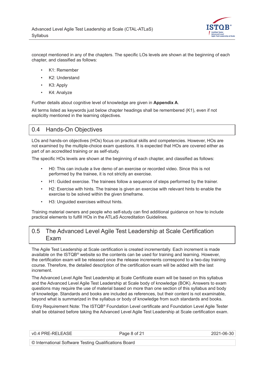

<span id="page-7-0"></span>concept mentioned in any of the chapters. The specific LOs levels are shown at the beginning of each chapter, and classified as follows:

- K1: Remember
- K2: Understand
- K3: Apply
- K4: Analyze

Further details about cognitive level of knowledge are given in **[Appendix A](#page-18-0)**.

All terms listed as keywords just below chapter headings shall be remembered (K1), even if not explicitly mentioned in the learning objectives.

#### 0.4 Hands-On Objectives

LOs and hands-on objectives (HOs) focus on practical skills and competencies. However, HOs are not examined by the multiple-choice exam questions. It is expected that HOs are covered either as part of an accredited training or as self-study.

The specific HOs levels are shown at the beginning of each chapter, and classified as follows:

- H0: This can include a live demo of an exercise or recorded video. Since this is not performed by the trainee, it is not strictly an exercise.
- H1: Guided exercise. The trainees follow a sequence of steps performed by the trainer.
- H2: Exercise with hints. The trainee is given an exercise with relevant hints to enable the exercise to be solved within the given timeframe.
- H3: Unguided exercises without hints.

Training material owners and people who self-study can find additional guidance on how to include practical elements to fulfill HOs in the ATLaS Accreditation Guidelines.

#### 0.5 The Advanced Level Agile Test Leadership at Scale Certification Exam

The Agile Test Leadership at Scale certification is created incrementally. Each increment is made available on the ISTQB*®* website so the contents can be used for training and learning. However, the certification exam will be released once the release increments correspond to a two-day training course. Therefore, the detailed description of the certification exam will be added with the last increment.

The Advanced Level Agile Test Leadership at Scale Certificate exam will be based on this syllabus and the Advanced Level Agile Test Leadership at Scale body of knowledge (BOK). Answers to exam questions may require the use of material based on more than one section of this syllabus and body of knowledge. Standards and books are included as references, but their content is not examinable, beyond what is summarized in the syllabus or body of knowledge from such standards and books.

Entry Requirement Note: The ISTQB*®* Foundation Level certificate and Foundation Level Agile Tester shall be obtained before taking the Advanced Level Agile Test Leadership at Scale certification exam.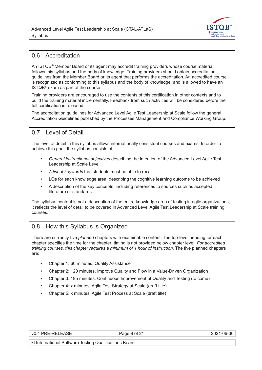

#### <span id="page-8-0"></span>0.6 Accreditation

An ISTQB*®* Member Board or its agent may accredit training providers whose course material follows this syllabus and the body of knowledge. Training providers should obtain accreditation guidelines from the Member Board or its agent that performs the accreditation. An accredited course is recognized as conforming to this syllabus and the body of knowledge, and is allowed to have an ISTQB*®* exam as part of the course.

Training providers are encouraged to use the contents of this certification in other contexts and to build the training material incrementally. Feedback from such activities will be considered before the full certification is released.

The accreditation guidelines for Advanced Level Agile Test Leadership at Scale follow the general Accreditation Guidelines published by the Processes Management and Compliance Working Group.

## 0.7 Level of Detail

The level of detail in this syllabus allows internationally consistent courses and exams. In order to achieve this goal, the syllabus consists of:

- *General instructional objectives* describing the intention of the Advanced Level Agile Test Leadership at Scale Level
- *A list of keywords* that students must be able to recall
- LOs for each knowledge area, describing the cognitive learning outcome to be achieved
- A description of the key concepts, including references to sources such as accepted literature or standards

The syllabus content is not a description of the entire knowledge area of testing in agile organizations; it reflects the level of detail to be covered in Advanced Level Agile Test Leadership at Scale training courses.

## 0.8 How this Syllabus is Organized

There are currently five *planned* chapters with examinable content. The top-level heading for each chapter specifies the time for the chapter; timing is not provided below chapter level*. For accredited training courses, this chapter requires a minimum of 1 hour of instruction.* The five planned chapters are:

- Chapter 1: 60 minutes, Quality Assistance
- Chapter 2: 120 minutes, Improve Quality and Flow in a Value-Driven Organization
- Chapter 3: 195 minutes, Continuous Improvement of Quality and Testing (to come)
- Chapter 4: x minutes, Agile Test Strategy at Scale (draft title)
- Chapter 5: x minutes, Agile Test Process at Scale (draft title)

| l PRE-RELE <i>l</i> | ____ |
|---------------------|------|

Page 9 of 21 2021-06-30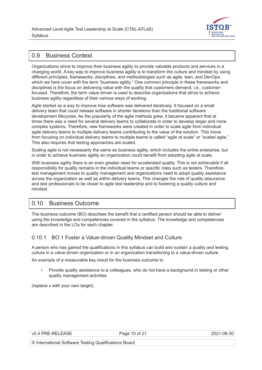

# <span id="page-9-0"></span>0.9 Business Context

Organizations strive to improve their business agility to provide valuable products and services in a changing world. A key way to improve business agility is to transform the culture and mindset by using different principles, frameworks, disciplines, and methodologies such as agile, lean, and DevOps, which we here cover with the term "business agility." One common principle in these frameworks and disciplines is the focus on delivering value with the quality that customers demand, i.e., customerfocused. Therefore, the term value-driven is used to describe organizations that strive to achieve business agility regardless of their various ways of working.

Agile started as a way to improve how software was delivered iteratively. It focused on a small delivery team that could release software in shorter iterations than the traditional software development lifecycles. As the popularity of the agile methods grew, it became apparent that at times there was a need for several delivery teams to collaborate in order to develop larger and more complex systems. Therefore, new frameworks were created in order to scale agile from individual agile delivery teams to multiple delivery teams contributing to the value of the solution. This move from focusing on individual delivery teams to multiple teams is called "agile at scale" or "scaled agile." This also requires that testing approaches are scaled.

Scaling agile is not necessarily the same as business agility, which includes the entire enterprise, but in order to achieve business agility an organization could benefit from adopting agile at scale.

With business agility there is an even greater need for accelerated quality. This is not achievable if all responsibility for quality remains in the individual teams or specific roles such as testers. Therefore, test management moves to quality management and organizations need to adopt quality assistance across the organization as well as within delivery teams. This changes the role of quality assurance and test professionals to be closer to agile test leadership and to fostering a quality culture and mindset.

## 0.10 Business Outcome

The business outcome (BO) describes the benefit that a certified person should be able to deliver using the knowledge and competencies covered in the syllabus. The knowledge and competencies are described in the LOs for each chapter.

#### 0.10.1 BO 1 Foster a Value-driven Quality Mindset and Culture

A person who has gained the qualifications in this syllabus can build and sustain a quality and testing culture in a value-driven organization or in an organization transitioning to a value-driven culture.

An example of a measurable key result for the business outcome is:

• Provide quality assistance to **x** colleagues, who do not have a background in testing or other quality management activities

(replace x with your own target).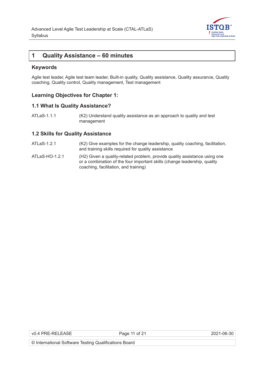

#### <span id="page-10-0"></span>**1 Quality Assistance – 60 minutes**

#### **Keywords**

Agile test leader, Agile test team leader, Built-in quality, Quality assistance, Quality assurance, Quality coaching, Quality control, Quality management, Test management

#### **Learning Objectives for Chapter 1:**

#### **1.1 What Is Quality Assistance?**

ATLaS-1.1.1 (K2) Understand quality assistance as an approach to quality and test management

#### **1.2 Skills for Quality Assistance**

- ATLaS-1.2.1 (K2) Give examples for the change leadership, quality coaching, facilitation, and training skills required for quality assistance
- ATLaS-HO-1.2.1(H2) Given a quality-related problem, provide quality assistance using one or a combination of the four important skills (change leadership, quality coaching, facilitation, and training)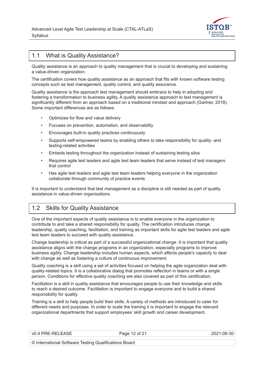

#### <span id="page-11-0"></span>1.1 What is Quality Assistance?

Quality assistance is an approach to quality management that is crucial to developing and sustaining a value-driven organization.

The certification covers how quality assistance as an approach that fits with known software testing concepts such as test management, quality control, and quality assurance.

Quality assistance is the approach test management should embrace to help in adopting and fostering a transformation to business agility. A quality assistance approach to test management is significantly different from an approach based on a traditional mindset and approach ([Gartner, 2018](#page-16-0)). Some important differences are as follows:

- Optimizes for flow and value delivery
- Focuses on prevention, automation, and observability
- Encourages built-in quality practices continuously
- Supports self-empowered teams by enabling others to take responsibility for quality- and testing-related activities
- Embeds testing throughout the organization instead of sustaining testing silos
- Requires agile test leaders and agile test team leaders that serve instead of test managers that control
- Has agile test leaders and agile test team leaders helping everyone in the organization collaborate through community of practice events

It is important to understand that test management as a discipline is still needed as part of quality assistance in value-driven organizations.

#### 1.2 Skills for Quality Assistance

One of the important aspects of quality assistance is to enable everyone in the organization to contribute to and take a shared responsibility for quality. The certification introduces change leadership, quality coaching, facilitation, and training as important skills for agile test leaders and agile test team leaders to succeed with quality assistance.

Change leadership is critical as part of a successful organizational change. It is important that quality assistance aligns with the change programs in an organization, especially programs to improve business agility. Change leadership includes human aspects, which affects people's capacity to deal with change as well as fostering a culture of continuous improvement.

Quality coaching is a skill using a set of activities focused on helping the agile organization deal with quality-related topics. It is a collaborative dialog that promotes reflection in teams or with a single person. Conditions for effective quality coaching are also covered as part of this certification.

Facilitation is a skill in quality assistance that encourages people to use their knowledge and skills to reach a desired outcome. Facilitation is important to engage everyone and to build a shared responsibility for quality.

Training is a skill to help people build their skills. A variety of methods are introduced to cater for different needs and purposes. In order to scale the training it is important to engage the relevant organizational departments that support employees' skill growth and career development.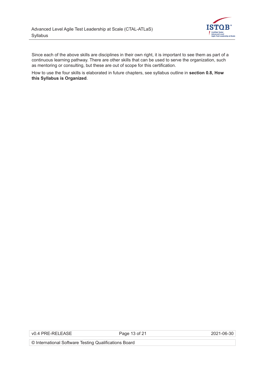

Since each of the above skills are disciplines in their own right, it is important to see them as part of a continuous learning pathway. There are other skills that can be used to serve the organization, such as mentoring or consulting, but these are out of scope for this certification.

How to use the four skills is elaborated in future chapters, see syllabus outline in **[section 0.8, How](#page-8-0)  [this Syllabus is Organized](#page-8-0)**.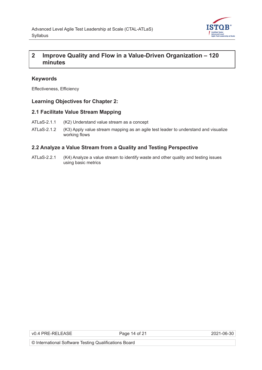

# <span id="page-13-0"></span>**2 Improve Quality and Flow in a Value-Driven Organization – 120 minutes**

#### **Keywords**

Effectiveness, Efficiency

#### **Learning Objectives for Chapter 2:**

#### **2.1 Facilitate Value Stream Mapping**

- ATLaS-2.1.1 (K2) Understand value stream as a concept
- ATLaS-2.1.2 (K3) Apply value stream mapping as an agile test leader to understand and visualize working flows

#### **2.2 Analyze a Value Stream from a Quality and Testing Perspective**

ATLaS-2.2.1 (K4) Analyze a value stream to identify waste and other quality and testing issues using basic metrics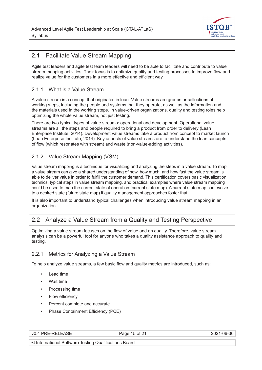

#### <span id="page-14-0"></span>2.1 Facilitate Value Stream Mapping

Agile test leaders and agile test team leaders will need to be able to facilitate and contribute to value stream mapping activities. Their focus is to optimize quality and testing processes to improve flow and realize value for the customers in a more effective and efficient way.

#### 2.1.1 What is a Value Stream

A value stream is a concept that originates in lean. Value streams are groups or collections of working steps, including the people and systems that they operate, as well as the information and the materials used in the working steps. In value-driven organizations, quality and testing roles help optimizing the whole value stream, not just testing.

There are two typical types of value streams: operational and development. Operational value streams are all the steps and people required to bring a product from order to delivery ([Lean](#page-16-0)  [Enterprise Institute, 2014](#page-16-0)). Development value streams take a product from concept to market launch [\(Lean Enterprise Institute, 2014\)](#page-16-0). Key aspects of value streams are to understand the lean concepts of flow (which resonates with stream) and waste (non-value-adding activities).

#### 2.1.2 Value Stream Mapping (VSM)

Value stream mapping is a technique for visualizing and analyzing the steps in a value stream. To map a value stream can give a shared understanding of how, how much, and how fast the value stream is able to deliver value in order to fulfill the customer demand. This certification covers basic visualization technics, typical steps in value stream mapping, and practical examples where value stream mapping could be used to map the current state of operation (current state map). A current state map can evolve to a desired state (future state map) if quality management approaches foster that.

It is also important to understand typical challenges when introducing value stream mapping in an organization.

## 2.2 Analyze a Value Stream from a Quality and Testing Perspective

Optimizing a value stream focuses on the flow of value and on quality. Therefore, value stream analysis can be a powerful tool for anyone who takes a quality assistance approach to quality and testing.

#### 2.2.1 Metrics for Analyzing a Value Stream

To help analyze value streams, a few basic flow and quality metrics are introduced, such as:

- Lead time
- Wait time
- Processing time
- Flow efficiency
- Percent complete and accurate
- Phase Containment Efficiency (PCE)

|  |  | v0.4 PRE-RELEASE |
|--|--|------------------|
|--|--|------------------|

Page 15 of 21 2021-06-30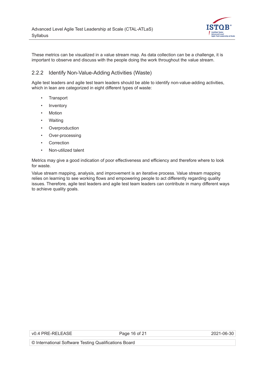

<span id="page-15-0"></span>These metrics can be visualized in a value stream map. As data collection can be a challenge, it is important to observe and discuss with the people doing the work throughout the value stream.

#### 2.2.2 Identify Non-Value-Adding Activities (Waste)

Agile test leaders and agile test team leaders should be able to identify non-value-adding activities, which in lean are categorized in eight different types of waste:

- **Transport**
- **Inventory**
- Motion
- Waiting
- Overproduction
- Over-processing
- **Correction**
- Non-utilized talent

Metrics may give a good indication of poor effectiveness and efficiency and therefore where to look for waste.

Value stream mapping, analysis, and improvement is an iterative process. Value stream mapping relies on learning to see working flows and empowering people to act differently regarding quality issues. Therefore, agile test leaders and agile test team leaders can contribute in many different ways to achieve quality goals.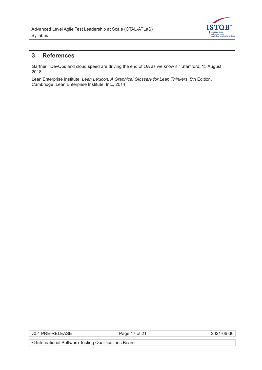

# <span id="page-16-0"></span>**3 References**

Gartner. "DevOps and cloud speed are driving the end of QA as we know it." Stamford, 13 August 2018.

Lean Enterprise Institute. *Lean Lexicon: A Graphical Glossary for Lean Thinkers*. 5th Edition. Cambridge: Lean Enterprise Institute, Inc., 2014.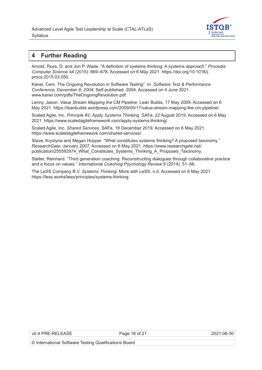

#### <span id="page-17-0"></span>**4 Further Reading**

Arnold, Ross, D. and Jon P. Wade. "A definition of systems thinking: A systems approach." *Procedia Computer Science* 44 (2015): 669–678. Accessed on 6 May 2021. https://doi.org/10.1016/j. procs.2015.03.050.

Kaner, Cem. The Ongoing Revolution in Software Testing". In *Software Test & Performance Conference, December 8, 2004*. Self-published, 2004. Accessed on 4 June 2021. [www.kaner.com/pdfs/TheOngoingRevolution.pdf](http://www.kaner.com/pdfs/TheOngoingRevolution.pdf)

Lenny, Jason. *Value Stream Mapping the CM Pipeline*. Lean Builds, 17 May 2009. Accessed on 6 May 2021. <https://leanbuilds.wordpress.com/2009/05/17/value-stream-mapping-the-cm-pipeline/>.

Scaled Agile, Inc. *Principle #2: Apply Systems Thinking*. SAFe, 22 August 2019. Accessed on 6 May 2021. <https://www.scaledagileframework.com/apply-systems-thinking/>.

Scaled Agile, Inc. *Shared Services*. SAFe, 18 December 2019. Accessed on 6 May 2021. <https://www.scaledagileframework.com/shared-services/>.

Stave, Krystyna and Megan Hopper. "What constitutes systems thinking? A proposed taxonomy." *ResearchGate*, January 2007*.* Accessed on 6 May 2021. [https://www.researchgate.net/](https://www.researchgate.net/publication/255592974_What_Constitutes_Systems_Thinking_A_Proposed_Taxonomy) [publication/255592974\\_What\\_Constitutes\\_Systems\\_Thinking\\_A\\_Proposed\\_Taxonomy](https://www.researchgate.net/publication/255592974_What_Constitutes_Systems_Thinking_A_Proposed_Taxonomy).

Stelter, Reinhard. "Third generation coaching: Reconstructing dialogues through collaborative practice and a focus on values." *International Coaching Psychology Review* 9 (2014): 51–66.

The LeSS Company B.V. *Systems Thinking*. More with LeSS, n.d. Accessed on 6 May 2021. <https://less.works/less/principles/systems-thinking>.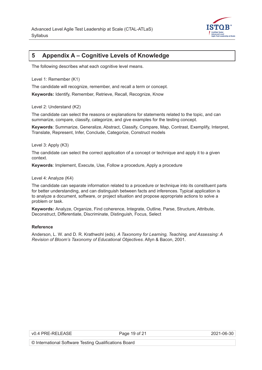

# <span id="page-18-0"></span>**5 Appendix A – Cognitive Levels of Knowledge**

The following describes what each cognitive level means.

Level 1: Remember (K1)

The candidate will recognize, remember, and recall a term or concept.

**Keywords:** Identify, Remember, Retrieve, Recall, Recognize, Know

Level 2: Understand (K2)

The candidate can select the reasons or explanations for statements related to the topic, and can summarize, compare, classify, categorize, and give examples for the testing concept.

**Keywords**: Summarize, Generalize, Abstract, Classify, Compare, Map, Contrast, Exemplify, Interpret, Translate, Represent, Infer, Conclude, Categorize, Construct models

Level 3: Apply (K3)

The candidate can select the correct application of a concept or technique and apply it to a given context.

**Keywords**: Implement, Execute, Use, Follow a procedure, Apply a procedure

Level 4: Analyze (K4)

The candidate can separate information related to a procedure or technique into its constituent parts for better understanding, and can distinguish between facts and inferences. Typical application is to analyze a document, software, or project situation and propose appropriate actions to solve a problem or task.

**Keywords:** Analyze, Organize, Find coherence, Integrate, Outline, Parse, Structure, Attribute, Deconstruct, Differentiate, Discriminate, Distinguish, Focus, Select

#### **Reference**

Anderson, L. W. and D. R. Krathwohl (eds). *A Taxonomy for Learning, Teaching, and Assessing: A Revision of Bloom's Taxonomy of Educational Objectives*. Allyn & Bacon, 2001.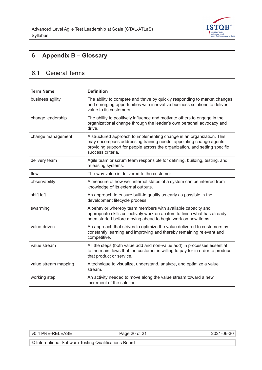

# <span id="page-19-0"></span>**6 Appendix B – Glossary**

# 6.1 General Terms

| <b>Term Name</b>     | <b>Definition</b>                                                                                                                                                                                                                              |
|----------------------|------------------------------------------------------------------------------------------------------------------------------------------------------------------------------------------------------------------------------------------------|
| business agility     | The ability to compete and thrive by quickly responding to market changes<br>and emerging opportunities with innovative business solutions to deliver<br>value to its customers.                                                               |
| change leadership    | The ability to positively influence and motivate others to engage in the<br>organizational change through the leader's own personal advocacy and<br>drive.                                                                                     |
| change management    | A structured approach to implementing change in an organization. This<br>may encompass addressing training needs, appointing change agents,<br>providing support for people across the organization, and setting specific<br>success criteria. |
| delivery team        | Agile team or scrum team responsible for defining, building, testing, and<br>releasing systems.                                                                                                                                                |
| flow                 | The way value is delivered to the customer.                                                                                                                                                                                                    |
| observability        | A measure of how well internal states of a system can be inferred from<br>knowledge of its external outputs.                                                                                                                                   |
| shift left           | An approach to ensure built-in quality as early as possible in the<br>development lifecycle process.                                                                                                                                           |
| swarming             | A behavior whereby team members with available capacity and<br>appropriate skills collectively work on an item to finish what has already<br>been started before moving ahead to begin work on new items.                                      |
| value-driven         | An approach that strives to optimize the value delivered to customers by<br>constantly learning and improving and thereby remaining relevant and<br>competitive.                                                                               |
| value stream         | All the steps (both value add and non-value add) in processes essential<br>to the main flows that the customer is willing to pay for in order to produce<br>that product or service.                                                           |
| value stream mapping | A technique to visualize, understand, analyze, and optimize a value<br>stream.                                                                                                                                                                 |
| working step         | An activity needed to move along the value stream toward a new<br>increment of the solution                                                                                                                                                    |